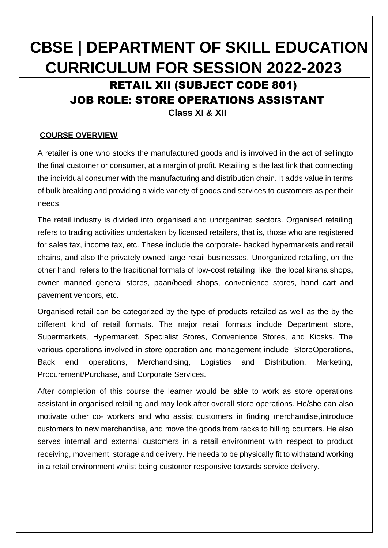# **CBSE | DEPARTMENT OF SKILL EDUCATION CURRICULUM FOR SESSION 2022-2023**

# RETAIL XII (SUBJECT CODE 801) JOB ROLE: STORE OPERATIONS ASSISTANT

**Class XI & XII**

#### **COURSE OVERVIEW**

A retailer is one who stocks the manufactured goods and is involved in the act of sellingto the final customer or consumer, at a margin of profit. Retailing is the last link that connecting the individual consumer with the manufacturing and distribution chain. It adds value in terms of bulk breaking and providing a wide variety of goods and services to customers as per their needs.

The retail industry is divided into organised and unorganized sectors. Organised retailing refers to trading activities undertaken by licensed retailers, that is, those who are registered for sales tax, income tax, etc. These include the corporate- backed hypermarkets and retail chains, and also the privately owned large retail businesses. Unorganized retailing, on the other hand, refers to the traditional formats of low-cost retailing, like, the local kirana shops, owner manned general stores, paan/beedi shops, convenience stores, hand cart and pavement vendors, etc.

Organised retail can be categorized by the type of products retailed as well as the by the different kind of retail formats. The major retail formats include Department store, Supermarkets, Hypermarket, Specialist Stores, Convenience Stores, and Kiosks. The various operations involved in store operation and management include StoreOperations, Back end operations, Merchandising, Logistics and Distribution, Marketing, Procurement/Purchase, and Corporate Services.

After completion of this course the learner would be able to work as store operations assistant in organised retailing and may look after overall store operations. He/she can also motivate other co- workers and who assist customers in finding merchandise,introduce customers to new merchandise, and move the goods from racks to billing counters. He also serves internal and external customers in a retail environment with respect to product receiving, movement, storage and delivery. He needs to be physically fit to withstand working in a retail environment whilst being customer responsive towards service delivery.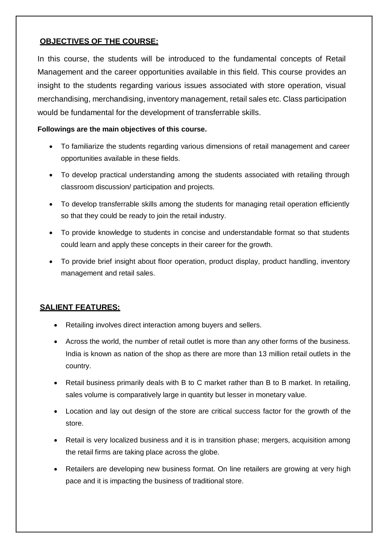## **OBJECTIVES OF THE COURSE:**

In this course, the students will be introduced to the fundamental concepts of Retail Management and the career opportunities available in this field. This course provides an insight to the students regarding various issues associated with store operation, visual merchandising, merchandising, inventory management, retail sales etc. Class participation would be fundamental for the development of transferrable skills.

#### **Followings are the main objectives of this course.**

- To familiarize the students regarding various dimensions of retail management and career opportunities available in these fields.
- To develop practical understanding among the students associated with retailing through classroom discussion/ participation and projects.
- To develop transferrable skills among the students for managing retail operation efficiently so that they could be ready to join the retail industry.
- To provide knowledge to students in concise and understandable format so that students could learn and apply these concepts in their career for the growth.
- To provide brief insight about floor operation, product display, product handling, inventory management and retail sales.

### **SALIENT FEATURES:**

- Retailing involves direct interaction among buyers and sellers.
- Across the world, the number of retail outlet is more than any other forms of the business. India is known as nation of the shop as there are more than 13 million retail outlets in the country.
- Retail business primarily deals with B to C market rather than B to B market. In retailing, sales volume is comparatively large in quantity but lesser in monetary value.
- Location and lay out design of the store are critical success factor for the growth of the store.
- Retail is very localized business and it is in transition phase; mergers, acquisition among the retail firms are taking place across the globe.
- Retailers are developing new business format. On line retailers are growing at very high pace and it is impacting the business of traditional store.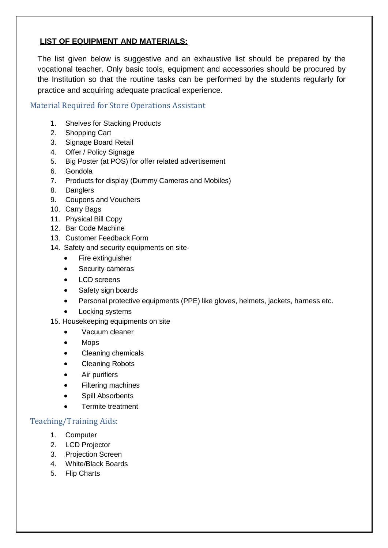# **LIST OF EQUIPMENT AND MATERIALS:**

The list given below is suggestive and an exhaustive list should be prepared by the vocational teacher. Only basic tools, equipment and accessories should be procured by the Institution so that the routine tasks can be performed by the students regularly for practice and acquiring adequate practical experience.

## Material Required for Store Operations Assistant

- 1. Shelves for Stacking Products
- 2. Shopping Cart
- 3. Signage Board Retail
- 4. Offer / Policy Signage
- 5. Big Poster (at POS) for offer related advertisement
- 6. Gondola
- 7. Products for display (Dummy Cameras and Mobiles)
- 8. Danglers
- 9. Coupons and Vouchers
- 10. Carry Bags
- 11. Physical Bill Copy
- 12. Bar Code Machine
- 13. Customer Feedback Form
- 14. Safety and security equipments on site-
	- Fire extinguisher
	- Security cameras
	- LCD screens
	- Safety sign boards
	- Personal protective equipments (PPE) like gloves, helmets, jackets, harness etc.
	- Locking systems
- 15. Housekeeping equipments on site
	- Vacuum cleaner
	- Mops
	- Cleaning chemicals
	- Cleaning Robots
	- **•** Air purifiers
	- Filtering machines
	- Spill Absorbents
	- Termite treatment

### Teaching/Training Aids:

- 1. Computer
- 2. LCD Projector
- 3. Projection Screen
- 4. White/Black Boards
- 5. Flip Charts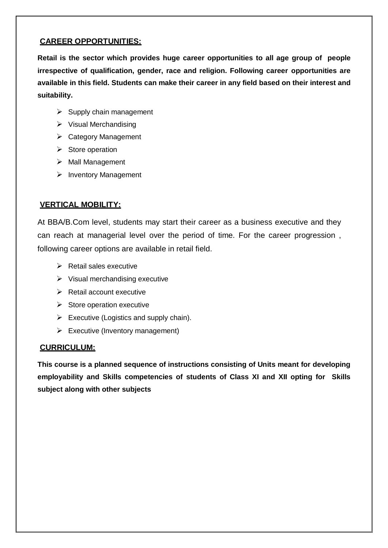### **CAREER OPPORTUNITIES:**

**Retail is the sector which provides huge career opportunities to all age group of people irrespective of qualification, gender, race and religion. Following career opportunities are available in this field. Students can make their career in any field based on their interest and suitability.**

- $\triangleright$  Supply chain management
- $\triangleright$  Visual Merchandising
- $\triangleright$  Category Management
- $\triangleright$  Store operation
- $\triangleright$  Mall Management
- $\triangleright$  Inventory Management

## **VERTICAL MOBILITY:**

At BBA/B.Com level, students may start their career as a business executive and they can reach at managerial level over the period of time. For the career progression , following career options are available in retail field.

- $\triangleright$  Retail sales executive
- $\triangleright$  Visual merchandising executive
- $\triangleright$  Retail account executive
- $\triangleright$  Store operation executive
- $\triangleright$  Executive (Logistics and supply chain).
- $\triangleright$  Executive (Inventory management)

### **CURRICULUM:**

**This course is a planned sequence of instructions consisting of Units meant for developing employability and Skills competencies of students of Class XI and XII opting for Skills subject along with other subjects**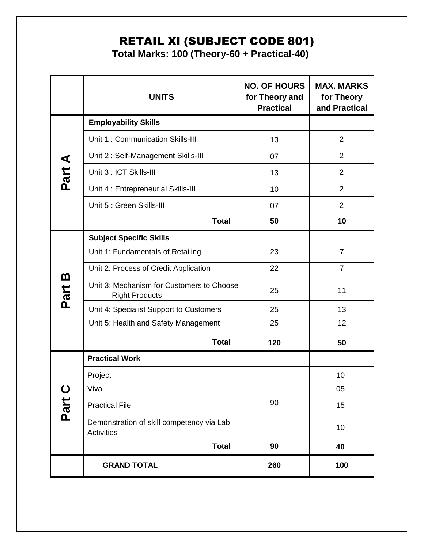# RETAIL XI (SUBJECT CODE 801)

**Total Marks: 100 (Theory-60 + Practical-40)**

|                     | <b>UNITS</b>                                                       | <b>NO. OF HOURS</b><br>for Theory and<br><b>Practical</b> | <b>MAX. MARKS</b><br>for Theory<br>and Practical |
|---------------------|--------------------------------------------------------------------|-----------------------------------------------------------|--------------------------------------------------|
|                     | <b>Employability Skills</b>                                        |                                                           |                                                  |
|                     | Unit 1: Communication Skills-III                                   | 13                                                        | $\overline{2}$                                   |
|                     | Unit 2: Self-Management Skills-III                                 | 07                                                        | $\overline{2}$                                   |
| Part A              | Unit 3 : ICT Skills-III                                            | 13                                                        | $\overline{2}$                                   |
|                     | Unit 4: Entrepreneurial Skills-III                                 | 10                                                        | $\overline{2}$                                   |
|                     | Unit 5 : Green Skills-III                                          | 07                                                        | $\overline{2}$                                   |
|                     | <b>Total</b>                                                       | 50                                                        | 10                                               |
|                     | <b>Subject Specific Skills</b>                                     |                                                           |                                                  |
|                     | Unit 1: Fundamentals of Retailing                                  | 23                                                        | $\overline{7}$                                   |
|                     | Unit 2: Process of Credit Application                              | 22                                                        | $\overline{7}$                                   |
| <u>ന</u><br>Part    | Unit 3: Mechanism for Customers to Choose<br><b>Right Products</b> | 25                                                        | 11                                               |
|                     | Unit 4: Specialist Support to Customers                            | 25                                                        | 13                                               |
|                     | Unit 5: Health and Safety Management                               | 25                                                        | 12                                               |
|                     | <b>Total</b>                                                       | 120                                                       | 50                                               |
| $\mathbf C$<br>Part | <b>Practical Work</b>                                              |                                                           |                                                  |
|                     | Project                                                            |                                                           | 10                                               |
|                     | Viva                                                               |                                                           | 05                                               |
|                     | <b>Practical File</b>                                              | 90                                                        | 15                                               |
|                     | Demonstration of skill competency via Lab<br><b>Activities</b>     |                                                           | 10                                               |
|                     | <b>Total</b>                                                       | 90                                                        | 40                                               |
|                     | <b>GRAND TOTAL</b>                                                 | 260                                                       | 100                                              |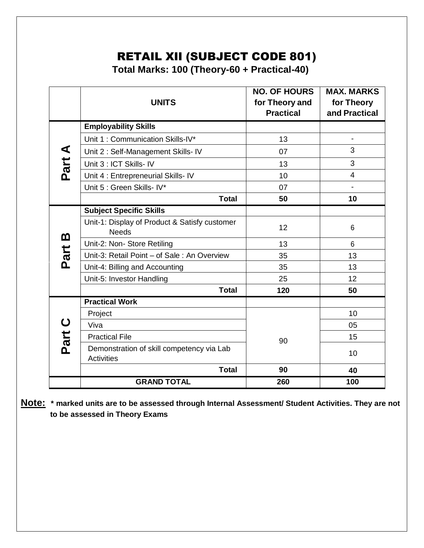# RETAIL XII (SUBJECT CODE 801)

**Total Marks: 100 (Theory-60 + Practical-40)**

|                     | <b>UNITS</b>                                                   | <b>NO. OF HOURS</b><br>for Theory and<br><b>Practical</b> | <b>MAX. MARKS</b><br>for Theory<br>and Practical |
|---------------------|----------------------------------------------------------------|-----------------------------------------------------------|--------------------------------------------------|
|                     | <b>Employability Skills</b>                                    |                                                           |                                                  |
|                     | Unit 1: Communication Skills-IV*                               | 13                                                        | $\blacksquare$                                   |
| Part A              | Unit 2 : Self-Management Skills- IV                            | 07                                                        | 3                                                |
|                     | Unit 3 : ICT Skills- IV                                        | 13                                                        | 3                                                |
|                     | Unit 4 : Entrepreneurial Skills- IV                            | 10                                                        | $\overline{4}$                                   |
|                     | Unit 5 : Green Skills- IV*                                     | 07                                                        |                                                  |
|                     | <b>Total</b>                                                   | 50                                                        | 10                                               |
|                     | <b>Subject Specific Skills</b>                                 |                                                           |                                                  |
| <u>ന</u>            | Unit-1: Display of Product & Satisfy customer<br><b>Needs</b>  | 12                                                        | 6                                                |
|                     | Unit-2: Non- Store Retiling                                    | 13                                                        | 6                                                |
| Part                | Unit-3: Retail Point - of Sale: An Overview                    | 35                                                        | 13                                               |
|                     | Unit-4: Billing and Accounting                                 | 35                                                        | 13                                               |
|                     | Unit-5: Investor Handling                                      | 25                                                        | 12                                               |
|                     | <b>Total</b>                                                   | 120                                                       | 50                                               |
|                     | <b>Practical Work</b>                                          |                                                           |                                                  |
| $\mathbf C$<br>Part | Project                                                        |                                                           | 10                                               |
|                     | Viva                                                           |                                                           | 05                                               |
|                     | <b>Practical File</b>                                          | 90                                                        | 15                                               |
|                     | Demonstration of skill competency via Lab<br><b>Activities</b> |                                                           | 10                                               |
|                     | <b>Total</b>                                                   | 90                                                        | 40                                               |
|                     | <b>GRAND TOTAL</b>                                             | 260                                                       | 100                                              |

**Note: \* marked units are to be assessed through Internal Assessment/ Student Activities. They are not to be assessed in Theory Exams**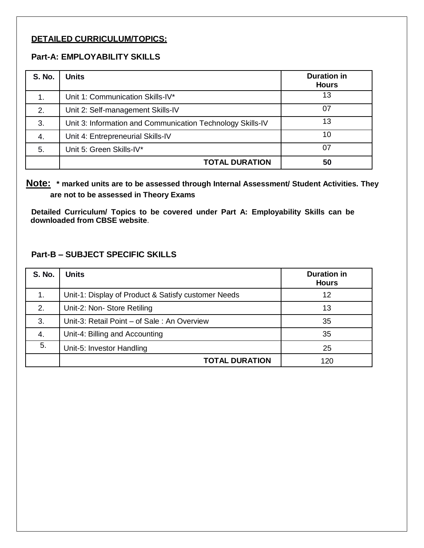#### **DETAILED CURRICULUM/TOPICS:**

#### **Part-A: EMPLOYABILITY SKILLS**

| <b>S. No.</b> | <b>Units</b>                                               | <b>Duration in</b><br><b>Hours</b> |
|---------------|------------------------------------------------------------|------------------------------------|
| 1.            | Unit 1: Communication Skills-IV*                           | 13                                 |
| 2.            | Unit 2: Self-management Skills-IV                          | 07                                 |
| 3.            | Unit 3: Information and Communication Technology Skills-IV | 13                                 |
| 4.            | Unit 4: Entrepreneurial Skills-IV                          | 10                                 |
| 5.            | Unit 5: Green Skills-IV*                                   | 07                                 |
|               | <b>TOTAL DURATION</b>                                      | 50                                 |

 **Note: \* marked units are to be assessed through Internal Assessment/ Student Activities. They are not to be assessed in Theory Exams** 

**Detailed Curriculum/ Topics to be covered under Part A: Employability Skills can be downloaded from CBSE website**.

#### **Part-B – SUBJECT SPECIFIC SKILLS**

| <b>S. No.</b> | <b>Units</b>                                        | <b>Duration in</b><br><b>Hours</b> |
|---------------|-----------------------------------------------------|------------------------------------|
| 1.            | Unit-1: Display of Product & Satisfy customer Needs | 12                                 |
| 2.            | Unit-2: Non- Store Retiling                         | 13                                 |
| 3.            | Unit-3: Retail Point – of Sale: An Overview         | 35                                 |
| 4.            | Unit-4: Billing and Accounting                      | 35                                 |
| 5.            | Unit-5: Investor Handling                           | 25                                 |
|               | <b>TOTAL DURATION</b>                               | 120                                |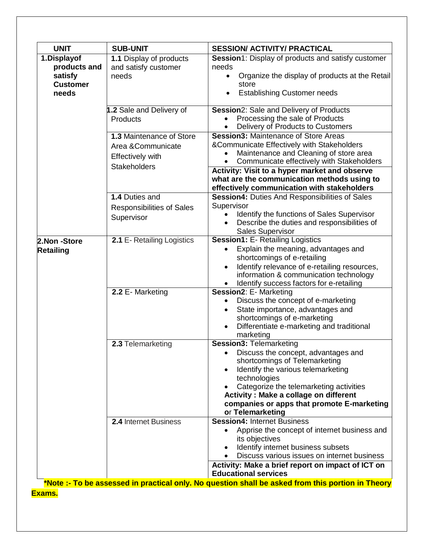| <b>UNIT</b>                                                        | <b>SUB-UNIT</b>                                                                                 | <b>SESSION/ ACTIVITY/ PRACTICAL</b>                                                                                                                                                                                                                                                                                                                                               |
|--------------------------------------------------------------------|-------------------------------------------------------------------------------------------------|-----------------------------------------------------------------------------------------------------------------------------------------------------------------------------------------------------------------------------------------------------------------------------------------------------------------------------------------------------------------------------------|
| 1.Displayof<br>products and<br>satisfy<br><b>Customer</b><br>needs | 1.1 Display of products<br>and satisfy customer<br>needs                                        | <b>Session</b> 1: Display of products and satisfy customer<br>needs<br>Organize the display of products at the Retail<br>$\bullet$<br>store<br><b>Establishing Customer needs</b>                                                                                                                                                                                                 |
|                                                                    | 1.2 Sale and Delivery of<br>Products                                                            | Session2: Sale and Delivery of Products<br>Processing the sale of Products<br>Delivery of Products to Customers                                                                                                                                                                                                                                                                   |
|                                                                    | 1.3 Maintenance of Store<br>Area &Communicate<br><b>Effectively with</b><br><b>Stakeholders</b> | <b>Session3: Maintenance of Store Areas</b><br>&Communicate Effectively with Stakeholders<br>Maintenance and Cleaning of store area<br>Communicate effectively with Stakeholders<br>Activity: Visit to a hyper market and observe<br>what are the communication methods using to<br>effectively communication with stakeholders                                                   |
|                                                                    | 1.4 Duties and<br>Responsibilities of Sales<br>Supervisor                                       | <b>Session4: Duties And Responsibilities of Sales</b><br>Supervisor<br>Identify the functions of Sales Supervisor<br>Describe the duties and responsibilities of<br><b>Sales Supervisor</b>                                                                                                                                                                                       |
| 2.Non -Store<br><b>Retailing</b>                                   | 2.1 E- Retailing Logistics                                                                      | <b>Session1: E- Retailing Logistics</b><br>Explain the meaning, advantages and<br>shortcomings of e-retailing<br>Identify relevance of e-retailing resources,<br>information & communication technology<br>Identify success factors for e-retailing                                                                                                                               |
|                                                                    | 2.2 E-Marketing                                                                                 | Session2: E- Marketing<br>Discuss the concept of e-marketing<br>State importance, advantages and<br>shortcomings of e-marketing<br>Differentiate e-marketing and traditional<br>marketing                                                                                                                                                                                         |
|                                                                    | 2.3 Telemarketing                                                                               | <b>Session3: Telemarketing</b><br>Discuss the concept, advantages and<br>shortcomings of Telemarketing<br>Identify the various telemarketing<br>technologies<br>Categorize the telemarketing activities<br><b>Activity: Make a collage on different</b><br>companies or apps that promote E-marketing<br>or Telemarketing                                                         |
|                                                                    | <b>2.4 Internet Business</b>                                                                    | <b>Session4: Internet Business</b><br>Apprise the concept of internet business and<br>its objectives<br>Identify internet business subsets<br>Discuss various issues on internet business<br>Activity: Make a brief report on impact of ICT on<br><b>Educational services</b><br>*Note : To be accessed in prostigal only. No question shall be schod from this portion in Theory |

**\*Note :- To be assessed in practical only. No question shall be asked from this portion in Theory Exams.**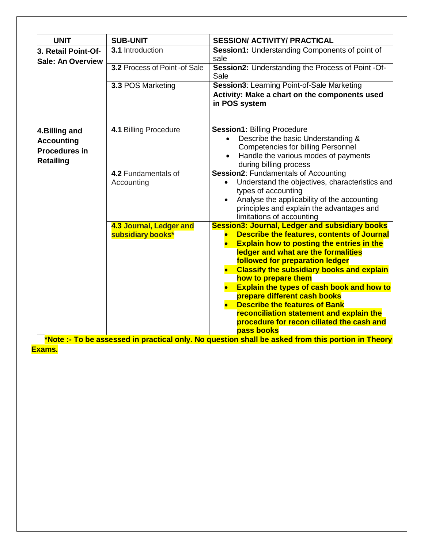| <b>UNIT</b>                                     | <b>SUB-UNIT</b>               | <b>SESSION/ ACTIVITY/ PRACTICAL</b>                                                      |
|-------------------------------------------------|-------------------------------|------------------------------------------------------------------------------------------|
| 3. Retail Point-Of-<br><b>Sale: An Overview</b> | 3.1 Introduction              | <b>Session1:</b> Understanding Components of point of<br>sale                            |
|                                                 | 3.2 Process of Point -of Sale | Session2: Understanding the Process of Point -Of-<br>Sale                                |
|                                                 | 3.3 POS Marketing             | Session3: Learning Point-of-Sale Marketing                                               |
|                                                 |                               | Activity: Make a chart on the components used<br>in POS system                           |
| 4. Billing and                                  | 4.1 Billing Procedure         | <b>Session1: Billing Procedure</b>                                                       |
| <b>Accounting</b>                               |                               | Describe the basic Understanding &                                                       |
| <b>Procedures in</b>                            |                               | <b>Competencies for billing Personnel</b>                                                |
| <b>Retailing</b>                                |                               | Handle the various modes of payments<br>during billing process                           |
|                                                 | 4.2 Fundamentals of           | <b>Session2: Fundamentals of Accounting</b>                                              |
|                                                 | Accounting                    | Understand the objectives, characteristics and                                           |
|                                                 |                               | types of accounting                                                                      |
|                                                 |                               | Analyse the applicability of the accounting<br>principles and explain the advantages and |
|                                                 |                               | limitations of accounting                                                                |
|                                                 | 4.3 Journal, Ledger and       | <b>Session3: Journal, Ledger and subsidiary books</b>                                    |
|                                                 | subsidiary books*             | <b>Describe the features, contents of Journal</b>                                        |
|                                                 |                               | <b>Explain how to posting the entries in the</b>                                         |
|                                                 |                               | ledger and what are the formalities                                                      |
|                                                 |                               | followed for preparation ledger<br><b>Classify the subsidiary books and explain</b>      |
|                                                 |                               | how to prepare them                                                                      |
|                                                 |                               | Explain the types of cash book and how to                                                |
|                                                 |                               | prepare different cash books                                                             |
|                                                 |                               | <b>Describe the features of Bank</b>                                                     |
|                                                 |                               | reconciliation statement and explain the<br>procedure for recon ciliated the cash and    |
|                                                 |                               | pass books                                                                               |

**\*Note :- To be assessed in practical only. No question shall be asked from this portion in Theory Exams.**